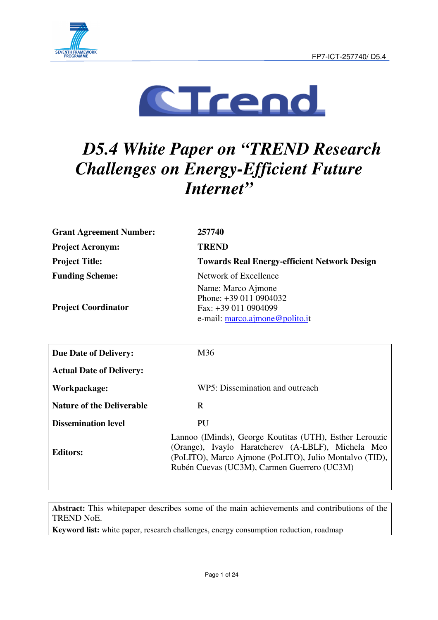



# *D5.4 White Paper on "TREND Research Challenges on Energy-Efficient Future Internet"*

| <b>Grant Agreement Number:</b>   | 257740                                                                                                                                                                                                                 |  |
|----------------------------------|------------------------------------------------------------------------------------------------------------------------------------------------------------------------------------------------------------------------|--|
| <b>Project Acronym:</b>          | <b>TREND</b>                                                                                                                                                                                                           |  |
| <b>Project Title:</b>            | <b>Towards Real Energy-efficient Network Design</b>                                                                                                                                                                    |  |
| <b>Funding Scheme:</b>           | Network of Excellence                                                                                                                                                                                                  |  |
| <b>Project Coordinator</b>       | Name: Marco Ajmone<br>Phone: +39 011 0904032<br>Fax: +39 011 0904099<br>e-mail: marco.ajmone@polito.it                                                                                                                 |  |
| <b>Due Date of Delivery:</b>     | M36                                                                                                                                                                                                                    |  |
| <b>Actual Date of Delivery:</b>  |                                                                                                                                                                                                                        |  |
| Workpackage:                     | WP5: Dissemination and outreach                                                                                                                                                                                        |  |
| <b>Nature of the Deliverable</b> | $\mathbf R$                                                                                                                                                                                                            |  |
| <b>Dissemination level</b>       | PU                                                                                                                                                                                                                     |  |
| <b>Editors:</b>                  | Lannoo (IMinds), George Koutitas (UTH), Esther Lerouzic<br>(Orange), Ivaylo Haratcherev (A-LBLF), Michela Meo<br>(PoLITO), Marco Ajmone (PoLITO), Julio Montalvo (TID),<br>Rubén Cuevas (UC3M), Carmen Guerrero (UC3M) |  |

**Abstract:** This whitepaper describes some of the main achievements and contributions of the TREND NoE.

**Keyword list:** white paper, research challenges, energy consumption reduction, roadmap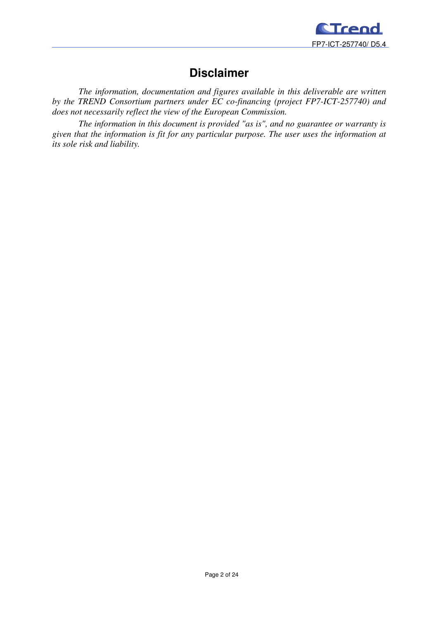

# **Disclaimer**

*The information, documentation and figures available in this deliverable are written by the TREND Consortium partners under EC co-financing (project FP7-ICT-257740) and does not necessarily reflect the view of the European Commission.* 

*The information in this document is provided "as is", and no guarantee or warranty is given that the information is fit for any particular purpose. The user uses the information at its sole risk and liability.*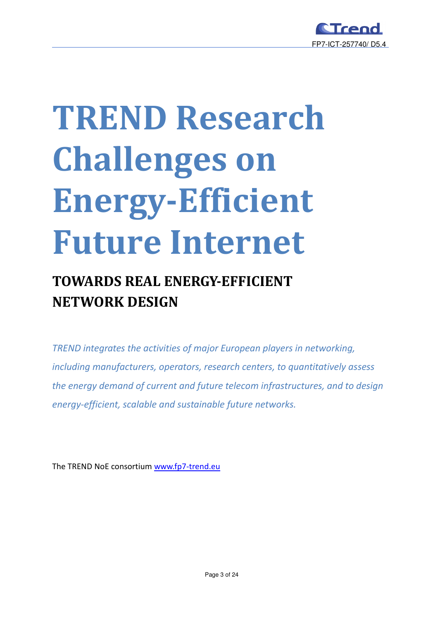

# TREND Research Challenges on Energy-Efficient Future Internet

# TOWARDS REAL ENERGY-EFFICIENT NETWORK DESIGN

TREND integrates the activities of major European players in networking, including manufacturers, operators, research centers, to quantitatively assess the energy demand of current and future telecom infrastructures, and to design energy-efficient, scalable and sustainable future networks.

The TREND NoE consortium www.fp7-trend.eu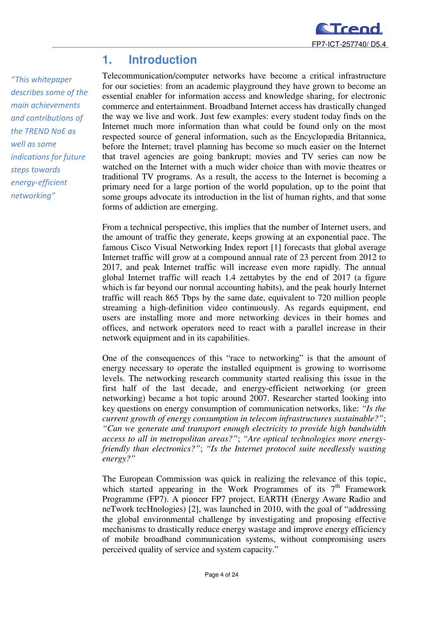

# **1. Introduction**

"This whitepaper describes some of the main achievements and contributions of the TREND NoE as well as some indications for future steps towards energy-efficient networking"

Telecommunication/computer networks have become a critical infrastructure for our societies: from an academic playground they have grown to become an essential enabler for information access and knowledge sharing, for electronic commerce and entertainment. Broadband Internet access has drastically changed the way we live and work. Just few examples: every student today finds on the Internet much more information than what could be found only on the most respected source of general information, such as the Encyclopædia Britannica, before the Internet; travel planning has become so much easier on the Internet that travel agencies are going bankrupt; movies and TV series can now be watched on the Internet with a much wider choice than with movie theatres or traditional TV programs. As a result, the access to the Internet is becoming a primary need for a large portion of the world population, up to the point that some groups advocate its introduction in the list of human rights, and that some forms of addiction are emerging.

From a technical perspective, this implies that the number of Internet users, and the amount of traffic they generate, keeps growing at an exponential pace. The famous Cisco Visual Networking Index report [1] forecasts that global average Internet traffic will grow at a compound annual rate of 23 percent from 2012 to 2017, and peak Internet traffic will increase even more rapidly. The annual global Internet traffic will reach 1.4 zettabytes by the end of 2017 (a figure which is far beyond our normal accounting habits), and the peak hourly Internet traffic will reach 865 Tbps by the same date, equivalent to 720 million people streaming a high-definition video continuously. As regards equipment, end users are installing more and more networking devices in their homes and offices, and network operators need to react with a parallel increase in their network equipment and in its capabilities.

One of the consequences of this "race to networking" is that the amount of energy necessary to operate the installed equipment is growing to worrisome levels. The networking research community started realising this issue in the first half of the last decade, and energy-efficient networking (or green networking) became a hot topic around 2007. Researcher started looking into key questions on energy consumption of communication networks, like: *"Is the current growth of energy consumption in telecom infrastructures sustainable?"*; *"Can we generate and transport enough electricity to provide high bandwidth access to all in metropolitan areas?"*; *"Are optical technologies more energyfriendly than electronics?"*; *"Is the Internet protocol suite needlessly wasting energy?"* 

The European Commission was quick in realizing the relevance of this topic, which started appearing in the Work Programmes of its  $7<sup>th</sup>$  Framework Programme (FP7). A pioneer FP7 project, EARTH (Energy Aware Radio and neTwork tecHnologies) [2], was launched in 2010, with the goal of "addressing the global environmental challenge by investigating and proposing effective mechanisms to drastically reduce energy wastage and improve energy efficiency of mobile broadband communication systems, without compromising users perceived quality of service and system capacity."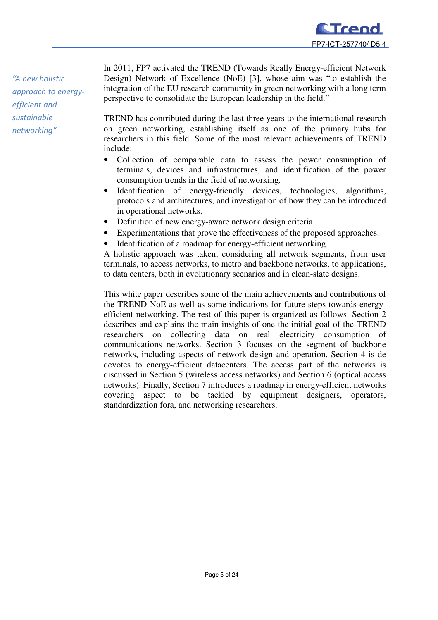

"A new holistic approach to energyefficient and sustainable networking"

In 2011, FP7 activated the TREND (Towards Really Energy-efficient Network Design) Network of Excellence (NoE) [3], whose aim was "to establish the integration of the EU research community in green networking with a long term perspective to consolidate the European leadership in the field."

TREND has contributed during the last three years to the international research on green networking, establishing itself as one of the primary hubs for researchers in this field. Some of the most relevant achievements of TREND include:

- Collection of comparable data to assess the power consumption of terminals, devices and infrastructures, and identification of the power consumption trends in the field of networking.
- Identification of energy-friendly devices, technologies, algorithms, protocols and architectures, and investigation of how they can be introduced in operational networks.
- Definition of new energy-aware network design criteria.
- Experimentations that prove the effectiveness of the proposed approaches.
- Identification of a roadmap for energy-efficient networking.

A holistic approach was taken, considering all network segments, from user terminals, to access networks, to metro and backbone networks, to applications, to data centers, both in evolutionary scenarios and in clean-slate designs.

This white paper describes some of the main achievements and contributions of the TREND NoE as well as some indications for future steps towards energyefficient networking. The rest of this paper is organized as follows. Section 2 describes and explains the main insights of one the initial goal of the TREND researchers on collecting data on real electricity consumption of communications networks. Section 3 focuses on the segment of backbone networks, including aspects of network design and operation. Section 4 is de devotes to energy-efficient datacenters. The access part of the networks is discussed in Section 5 (wireless access networks) and Section 6 (optical access networks). Finally, Section 7 introduces a roadmap in energy-efficient networks covering aspect to be tackled by equipment designers, operators, standardization fora, and networking researchers.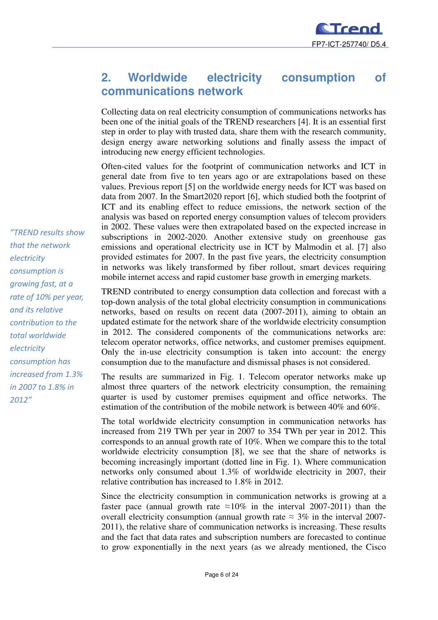

## **2. Worldwide electricity consumption of communications network**

Collecting data on real electricity consumption of communications networks has been one of the initial goals of the TREND researchers [4]. It is an essential first step in order to play with trusted data, share them with the research community, design energy aware networking solutions and finally assess the impact of introducing new energy efficient technologies.

Often-cited values for the footprint of communication networks and ICT in general date from five to ten years ago or are extrapolations based on these values. Previous report [5] on the worldwide energy needs for ICT was based on data from 2007. In the Smart2020 report [6], which studied both the footprint of ICT and its enabling effect to reduce emissions, the network section of the analysis was based on reported energy consumption values of telecom providers in 2002. These values were then extrapolated based on the expected increase in subscriptions in 2002-2020. Another extensive study on greenhouse gas emissions and operational electricity use in ICT by Malmodin et al. [7] also provided estimates for 2007. In the past five years, the electricity consumption in networks was likely transformed by fiber rollout, smart devices requiring mobile internet access and rapid customer base growth in emerging markets.

TREND contributed to energy consumption data collection and forecast with a top-down analysis of the total global electricity consumption in communications networks, based on results on recent data (2007-2011), aiming to obtain an updated estimate for the network share of the worldwide electricity consumption in 2012. The considered components of the communications networks are: telecom operator networks, office networks, and customer premises equipment. Only the in-use electricity consumption is taken into account: the energy consumption due to the manufacture and dismissal phases is not considered.

The results are summarized in Fig. 1. Telecom operator networks make up almost three quarters of the network electricity consumption, the remaining quarter is used by customer premises equipment and office networks. The estimation of the contribution of the mobile network is between 40% and 60%.

The total worldwide electricity consumption in communication networks has increased from 219 TWh per year in 2007 to 354 TWh per year in 2012. This corresponds to an annual growth rate of 10%. When we compare this to the total worldwide electricity consumption [8], we see that the share of networks is becoming increasingly important (dotted line in Fig. 1). Where communication networks only consumed about 1.3% of worldwide electricity in 2007, their relative contribution has increased to 1.8% in 2012.

Since the electricity consumption in communication networks is growing at a faster pace (annual growth rate  $\approx 10\%$  in the interval 2007-2011) than the overall electricity consumption (annual growth rate  $\approx 3\%$  in the interval 2007-2011), the relative share of communication networks is increasing. These results and the fact that data rates and subscription numbers are forecasted to continue to grow exponentially in the next years (as we already mentioned, the Cisco

"TREND results show that the network electricity consumption is growing fast, at a rate of 10% per year, and its relative contribution to the total worldwide electricity consumption has increased from 1.3% in 2007 to 1.8% in 2012"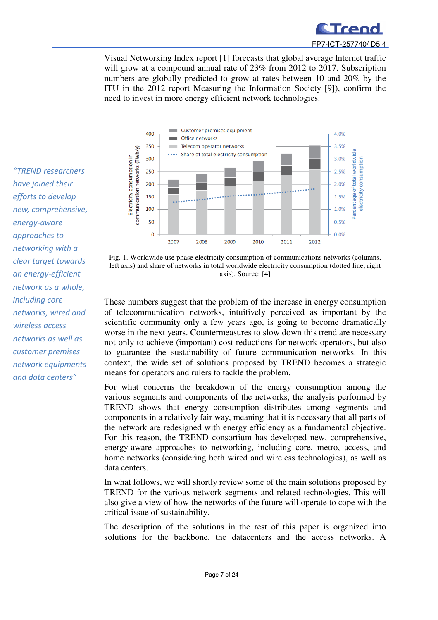

Visual Networking Index report [1] forecasts that global average Internet traffic will grow at a compound annual rate of 23% from 2012 to 2017. Subscription numbers are globally predicted to grow at rates between 10 and 20% by the ITU in the 2012 report Measuring the Information Society [9]), confirm the need to invest in more energy efficient network technologies.



Fig. 1. Worldwide use phase electricity consumption of communications networks (columns, left axis) and share of networks in total worldwide electricity consumption (dotted line, right axis). Source: [4]

These numbers suggest that the problem of the increase in energy consumption of telecommunication networks, intuitively perceived as important by the scientific community only a few years ago, is going to become dramatically worse in the next years. Countermeasures to slow down this trend are necessary not only to achieve (important) cost reductions for network operators, but also to guarantee the sustainability of future communication networks. In this context, the wide set of solutions proposed by TREND becomes a strategic means for operators and rulers to tackle the problem.

For what concerns the breakdown of the energy consumption among the various segments and components of the networks, the analysis performed by TREND shows that energy consumption distributes among segments and components in a relatively fair way, meaning that it is necessary that all parts of the network are redesigned with energy efficiency as a fundamental objective. For this reason, the TREND consortium has developed new, comprehensive, energy-aware approaches to networking, including core, metro, access, and home networks (considering both wired and wireless technologies), as well as data centers.

In what follows, we will shortly review some of the main solutions proposed by TREND for the various network segments and related technologies. This will also give a view of how the networks of the future will operate to cope with the critical issue of sustainability.

The description of the solutions in the rest of this paper is organized into solutions for the backbone, the datacenters and the access networks. A

"TREND researchers have joined their efforts to develop new, comprehensive, energy-aware approaches to networking with a clear target towards an energy-efficient network as a whole, including core networks, wired and wireless access networks as well as customer premises network equipments and data centers"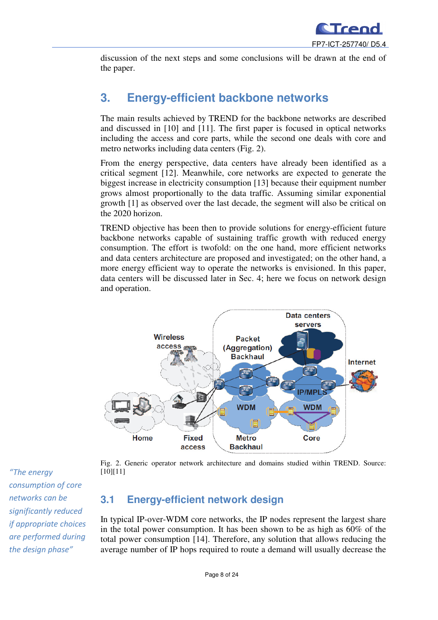

discussion of the next steps and some conclusions will be drawn at the end of the paper.

# **3. Energy-efficient backbone networks**

The main results achieved by TREND for the backbone networks are described and discussed in [10] and [11]. The first paper is focused in optical networks including the access and core parts, while the second one deals with core and metro networks including data centers (Fig. 2).

From the energy perspective, data centers have already been identified as a critical segment [12]. Meanwhile, core networks are expected to generate the biggest increase in electricity consumption [13] because their equipment number grows almost proportionally to the data traffic. Assuming similar exponential growth [1] as observed over the last decade, the segment will also be critical on the 2020 horizon.

TREND objective has been then to provide solutions for energy-efficient future backbone networks capable of sustaining traffic growth with reduced energy consumption. The effort is twofold: on the one hand, more efficient networks and data centers architecture are proposed and investigated; on the other hand, a more energy efficient way to operate the networks is envisioned. In this paper, data centers will be discussed later in Sec. 4; here we focus on network design and operation.



Fig. 2. Generic operator network architecture and domains studied within TREND. Source: [10][11]

#### **3.1 Energy-efficient network design**

In typical IP-over-WDM core networks, the IP nodes represent the largest share in the total power consumption. It has been shown to be as high as 60% of the total power consumption [14]. Therefore, any solution that allows reducing the average number of IP hops required to route a demand will usually decrease the

"The energy consumption of core networks can be significantly reduced if appropriate choices are performed during the design phase"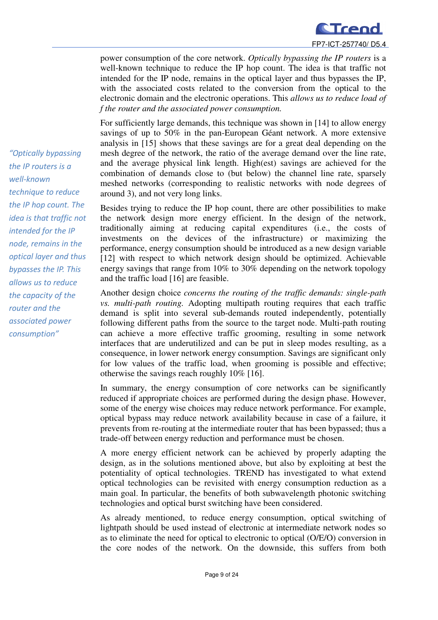

power consumption of the core network. *Optically bypassing the IP routers* is a well-known technique to reduce the IP hop count. The idea is that traffic not intended for the IP node, remains in the optical layer and thus bypasses the IP, with the associated costs related to the conversion from the optical to the electronic domain and the electronic operations. This *allows us to reduce load of f the router and the associated power consumption.*

For sufficiently large demands, this technique was shown in [14] to allow energy savings of up to 50% in the pan-European Géant network. A more extensive analysis in [15] shows that these savings are for a great deal depending on the mesh degree of the network, the ratio of the average demand over the line rate, and the average physical link length. High(est) savings are achieved for the combination of demands close to (but below) the channel line rate, sparsely meshed networks (corresponding to realistic networks with node degrees of around 3), and not very long links.

Besides trying to reduce the IP hop count, there are other possibilities to make the network design more energy efficient. In the design of the network, traditionally aiming at reducing capital expenditures (i.e., the costs of investments on the devices of the infrastructure) or maximizing the performance, energy consumption should be introduced as a new design variable [12] with respect to which network design should be optimized. Achievable energy savings that range from 10% to 30% depending on the network topology and the traffic load [16] are feasible.

Another design choice *concerns the routing of the traffic demands: single-path vs. multi-path routing.* Adopting multipath routing requires that each traffic demand is split into several sub-demands routed independently, potentially following different paths from the source to the target node. Multi-path routing can achieve a more effective traffic grooming, resulting in some network interfaces that are underutilized and can be put in sleep modes resulting, as a consequence, in lower network energy consumption. Savings are significant only for low values of the traffic load, when grooming is possible and effective; otherwise the savings reach roughly 10% [16].

In summary, the energy consumption of core networks can be significantly reduced if appropriate choices are performed during the design phase. However, some of the energy wise choices may reduce network performance. For example, optical bypass may reduce network availability because in case of a failure, it prevents from re-routing at the intermediate router that has been bypassed; thus a trade-off between energy reduction and performance must be chosen.

A more energy efficient network can be achieved by properly adapting the design, as in the solutions mentioned above, but also by exploiting at best the potentiality of optical technologies. TREND has investigated to what extend optical technologies can be revisited with energy consumption reduction as a main goal. In particular, the benefits of both subwavelength photonic switching technologies and optical burst switching have been considered.

As already mentioned, to reduce energy consumption, optical switching of lightpath should be used instead of electronic at intermediate network nodes so as to eliminate the need for optical to electronic to optical (O/E/O) conversion in the core nodes of the network. On the downside, this suffers from both

"Optically bypassing the IP routers is a well-known technique to reduce the IP hop count. The idea is that traffic not intended for the IP node, remains in the optical layer and thus bypasses the IP. This allows us to reduce the capacity of the router and the associated power consumption"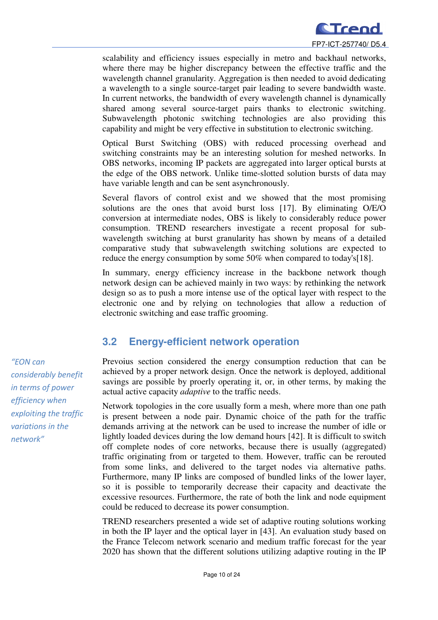

scalability and efficiency issues especially in metro and backhaul networks, where there may be higher discrepancy between the effective traffic and the wavelength channel granularity. Aggregation is then needed to avoid dedicating a wavelength to a single source-target pair leading to severe bandwidth waste. In current networks, the bandwidth of every wavelength channel is dynamically shared among several source-target pairs thanks to electronic switching. Subwavelength photonic switching technologies are also providing this capability and might be very effective in substitution to electronic switching.

Optical Burst Switching (OBS) with reduced processing overhead and switching constraints may be an interesting solution for meshed networks. In OBS networks, incoming IP packets are aggregated into larger optical bursts at the edge of the OBS network. Unlike time-slotted solution bursts of data may have variable length and can be sent asynchronously.

Several flavors of control exist and we showed that the most promising solutions are the ones that avoid burst loss [17]. By eliminating O/E/O conversion at intermediate nodes, OBS is likely to considerably reduce power consumption. TREND researchers investigate a recent proposal for subwavelength switching at burst granularity has shown by means of a detailed comparative study that subwavelength switching solutions are expected to reduce the energy consumption by some 50% when compared to today's[18].

In summary, energy efficiency increase in the backbone network though network design can be achieved mainly in two ways: by rethinking the network design so as to push a more intense use of the optical layer with respect to the electronic one and by relying on technologies that allow a reduction of electronic switching and ease traffic grooming.

#### **3.2 Energy-efficient network operation**

Prevoius section considered the energy consumption reduction that can be achieved by a proper network design. Once the network is deployed, additional savings are possible by proerly operating it, or, in other terms, by making the actual active capacity *adaptive* to the traffic needs.

Network topologies in the core usually form a mesh, where more than one path is present between a node pair. Dynamic choice of the path for the traffic demands arriving at the network can be used to increase the number of idle or lightly loaded devices during the low demand hours [42]. It is difficult to switch off complete nodes of core networks, because there is usually (aggregated) traffic originating from or targeted to them. However, traffic can be rerouted from some links, and delivered to the target nodes via alternative paths. Furthermore, many IP links are composed of bundled links of the lower layer, so it is possible to temporarily decrease their capacity and deactivate the excessive resources. Furthermore, the rate of both the link and node equipment could be reduced to decrease its power consumption.

TREND researchers presented a wide set of adaptive routing solutions working in both the IP layer and the optical layer in [43]. An evaluation study based on the France Telecom network scenario and medium traffic forecast for the year 2020 has shown that the different solutions utilizing adaptive routing in the IP

"EON can considerably benefit in terms of power efficiency when exploiting the traffic variations in the network"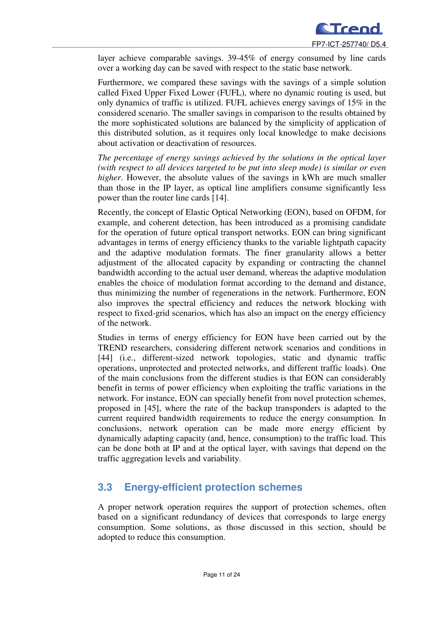

layer achieve comparable savings. 39-45% of energy consumed by line cards over a working day can be saved with respect to the static base network.

Furthermore, we compared these savings with the savings of a simple solution called Fixed Upper Fixed Lower (FUFL), where no dynamic routing is used, but only dynamics of traffic is utilized. FUFL achieves energy savings of 15% in the considered scenario. The smaller savings in comparison to the results obtained by the more sophisticated solutions are balanced by the simplicity of application of this distributed solution, as it requires only local knowledge to make decisions about activation or deactivation of resources.

*The percentage of energy savings achieved by the solutions in the optical layer (with respect to all devices targeted to be put into sleep mode) is similar or even higher*. However, the absolute values of the savings in kWh are much smaller than those in the IP layer, as optical line amplifiers consume significantly less power than the router line cards [14].

Recently, the concept of Elastic Optical Networking (EON), based on OFDM, for example, and coherent detection, has been introduced as a promising candidate for the operation of future optical transport networks. EON can bring significant advantages in terms of energy efficiency thanks to the variable lightpath capacity and the adaptive modulation formats. The finer granularity allows a better adjustment of the allocated capacity by expanding or contracting the channel bandwidth according to the actual user demand, whereas the adaptive modulation enables the choice of modulation format according to the demand and distance, thus minimizing the number of regenerations in the network. Furthermore, EON also improves the spectral efficiency and reduces the network blocking with respect to fixed-grid scenarios, which has also an impact on the energy efficiency of the network.

Studies in terms of energy efficiency for EON have been carried out by the TREND researchers, considering different network scenarios and conditions in [44] (i.e., different-sized network topologies, static and dynamic traffic operations, unprotected and protected networks, and different traffic loads). One of the main conclusions from the different studies is that EON can considerably benefit in terms of power efficiency when exploiting the traffic variations in the network. For instance, EON can specially benefit from novel protection schemes, proposed in [45], where the rate of the backup transponders is adapted to the current required bandwidth requirements to reduce the energy consumption*.* In conclusions, network operation can be made more energy efficient by dynamically adapting capacity (and, hence, consumption) to the traffic load. This can be done both at IP and at the optical layer, with savings that depend on the traffic aggregation levels and variability.

#### **3.3 Energy-efficient protection schemes**

A proper network operation requires the support of protection schemes, often based on a significant redundancy of devices that corresponds to large energy consumption. Some solutions, as those discussed in this section, should be adopted to reduce this consumption.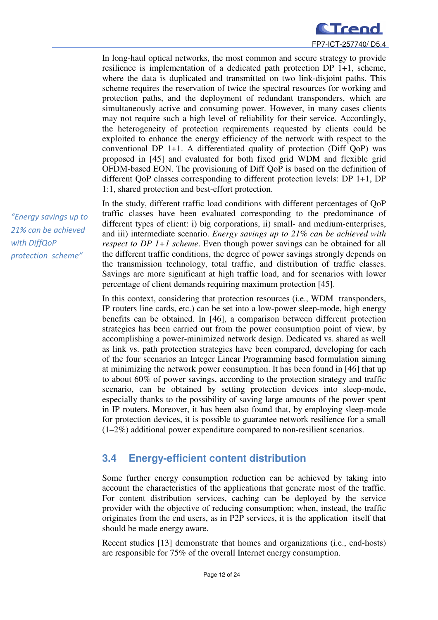

In long-haul optical networks, the most common and secure strategy to provide resilience is implementation of a dedicated path protection DP 1+1, scheme, where the data is duplicated and transmitted on two link-disjoint paths. This scheme requires the reservation of twice the spectral resources for working and protection paths, and the deployment of redundant transponders, which are simultaneously active and consuming power. However, in many cases clients may not require such a high level of reliability for their service. Accordingly, the heterogeneity of protection requirements requested by clients could be exploited to enhance the energy efficiency of the network with respect to the conventional DP 1+1. A differentiated quality of protection (Diff QoP) was proposed in [45] and evaluated for both fixed grid WDM and flexible grid OFDM-based EON. The provisioning of Diff QoP is based on the definition of different QoP classes corresponding to different protection levels: DP 1+1, DP 1:1, shared protection and best-effort protection.

In the study, different traffic load conditions with different percentages of QoP traffic classes have been evaluated corresponding to the predominance of different types of client: i) big corporations, ii) small- and medium-enterprises, and iii) intermediate scenario. *Energy savings up to 21% can be achieved with respect to DP 1+1 scheme*. Even though power savings can be obtained for all the different traffic conditions, the degree of power savings strongly depends on the transmission technology, total traffic, and distribution of traffic classes. Savings are more significant at high traffic load, and for scenarios with lower percentage of client demands requiring maximum protection [45].

In this context, considering that protection resources (i.e., WDM transponders, IP routers line cards, etc.) can be set into a low-power sleep-mode, high energy benefits can be obtained. In [46], a comparison between different protection strategies has been carried out from the power consumption point of view, by accomplishing a power-minimized network design. Dedicated vs. shared as well as link vs. path protection strategies have been compared, developing for each of the four scenarios an Integer Linear Programming based formulation aiming at minimizing the network power consumption. It has been found in [46] that up to about 60% of power savings, according to the protection strategy and traffic scenario, can be obtained by setting protection devices into sleep-mode, especially thanks to the possibility of saving large amounts of the power spent in IP routers. Moreover, it has been also found that, by employing sleep-mode for protection devices, it is possible to guarantee network resilience for a small (1–2%) additional power expenditure compared to non-resilient scenarios.

#### **3.4 Energy-efficient content distribution**

Some further energy consumption reduction can be achieved by taking into account the characteristics of the applications that generate most of the traffic. For content distribution services, caching can be deployed by the service provider with the objective of reducing consumption; when, instead, the traffic originates from the end users, as in P2P services, it is the application itself that should be made energy aware.

Recent studies [13] demonstrate that homes and organizations (i.e., end-hosts) are responsible for 75% of the overall Internet energy consumption.

"Energy savings up to 21% can be achieved with DiffQoP protection scheme"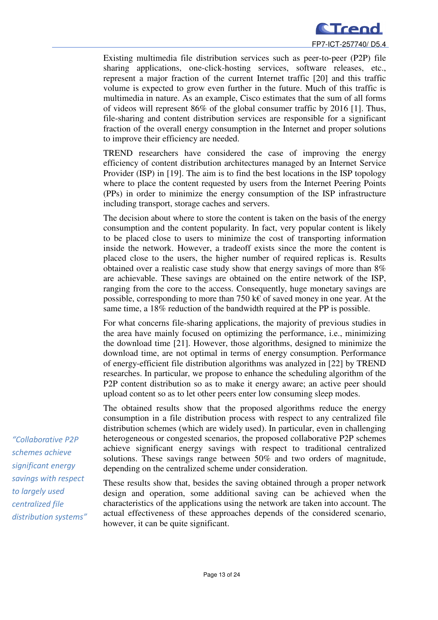

Existing multimedia file distribution services such as peer-to-peer (P2P) file sharing applications, one-click-hosting services, software releases, etc., represent a major fraction of the current Internet traffic [20] and this traffic volume is expected to grow even further in the future. Much of this traffic is multimedia in nature. As an example, Cisco estimates that the sum of all forms of videos will represent 86% of the global consumer traffic by 2016 [1]. Thus, file-sharing and content distribution services are responsible for a significant fraction of the overall energy consumption in the Internet and proper solutions to improve their efficiency are needed.

TREND researchers have considered the case of improving the energy efficiency of content distribution architectures managed by an Internet Service Provider (ISP) in [19]. The aim is to find the best locations in the ISP topology where to place the content requested by users from the Internet Peering Points (PPs) in order to minimize the energy consumption of the ISP infrastructure including transport, storage caches and servers.

The decision about where to store the content is taken on the basis of the energy consumption and the content popularity. In fact, very popular content is likely to be placed close to users to minimize the cost of transporting information inside the network. However, a tradeoff exists since the more the content is placed close to the users, the higher number of required replicas is. Results obtained over a realistic case study show that energy savings of more than 8% are achievable. These savings are obtained on the entire network of the ISP, ranging from the core to the access. Consequently, huge monetary savings are possible, corresponding to more than 750 k€ of saved money in one year. At the same time, a 18% reduction of the bandwidth required at the PP is possible.

For what concerns file-sharing applications, the majority of previous studies in the area have mainly focused on optimizing the performance, i.e., minimizing the download time [21]. However, those algorithms, designed to minimize the download time, are not optimal in terms of energy consumption. Performance of energy-efficient file distribution algorithms was analyzed in [22] by TREND researches. In particular, we propose to enhance the scheduling algorithm of the P2P content distribution so as to make it energy aware; an active peer should upload content so as to let other peers enter low consuming sleep modes.

The obtained results show that the proposed algorithms reduce the energy consumption in a file distribution process with respect to any centralized file distribution schemes (which are widely used). In particular, even in challenging heterogeneous or congested scenarios, the proposed collaborative P2P schemes achieve significant energy savings with respect to traditional centralized solutions. These savings range between 50% and two orders of magnitude, depending on the centralized scheme under consideration.

These results show that, besides the saving obtained through a proper network design and operation, some additional saving can be achieved when the characteristics of the applications using the network are taken into account. The actual effectiveness of these approaches depends of the considered scenario, however, it can be quite significant.

"Collaborative P2P schemes achieve significant energy savings with respect to largely used centralized file distribution systems"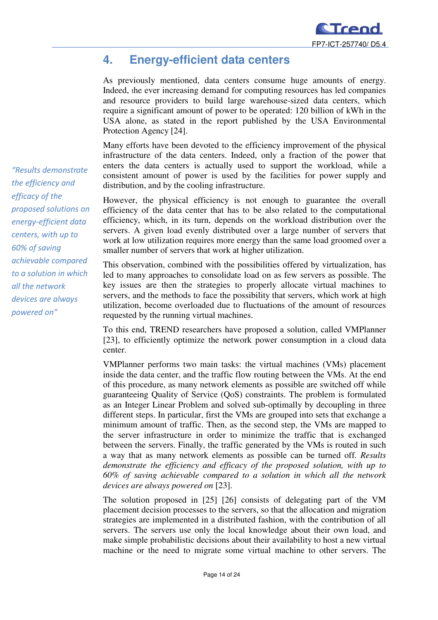

# **4. Energy-efficient data centers**

As previously mentioned, data centers consume huge amounts of energy. Indeed, the ever increasing demand for computing resources has led companies and resource providers to build large warehouse-sized data centers, which require a significant amount of power to be operated: 120 billion of kWh in the USA alone, as stated in the report published by the USA Environmental Protection Agency [24].

Many efforts have been devoted to the efficiency improvement of the physical infrastructure of the data centers. Indeed, only a fraction of the power that enters the data centers is actually used to support the workload, while a consistent amount of power is used by the facilities for power supply and distribution, and by the cooling infrastructure.

However, the physical efficiency is not enough to guarantee the overall efficiency of the data center that has to be also related to the computational efficiency, which, in its turn, depends on the workload distribution over the servers. A given load evenly distributed over a large number of servers that work at low utilization requires more energy than the same load groomed over a smaller number of servers that work at higher utilization.

This observation, combined with the possibilities offered by virtualization, has led to many approaches to consolidate load on as few servers as possible. The key issues are then the strategies to properly allocate virtual machines to servers, and the methods to face the possibility that servers, which work at high utilization, become overloaded due to fluctuations of the amount of resources requested by the running virtual machines.

To this end, TREND researchers have proposed a solution, called VMPlanner [23], to efficiently optimize the network power consumption in a cloud data center.

VMPlanner performs two main tasks: the virtual machines (VMs) placement inside the data center, and the traffic flow routing between the VMs. At the end of this procedure, as many network elements as possible are switched off while guaranteeing Quality of Service (QoS) constraints. The problem is formulated as an Integer Linear Problem and solved sub-optimally by decoupling in three different steps. In particular, first the VMs are grouped into sets that exchange a minimum amount of traffic. Then, as the second step, the VMs are mapped to the server infrastructure in order to minimize the traffic that is exchanged between the servers. Finally, the traffic generated by the VMs is routed in such a way that as many network elements as possible can be turned off*. Results demonstrate the efficiency and efficacy of the proposed solution, with up to 60% of saving achievable compared to a solution in which all the network devices are always powered on* [23].

The solution proposed in [25] [26] consists of delegating part of the VM placement decision processes to the servers, so that the allocation and migration strategies are implemented in a distributed fashion, with the contribution of all servers. The servers use only the local knowledge about their own load, and make simple probabilistic decisions about their availability to host a new virtual machine or the need to migrate some virtual machine to other servers. The

"Results demonstrate the efficiency and efficacy of the proposed solutions on energy-efficient data centers, with up to 60% of saving achievable compared to a solution in which all the network devices are always powered on"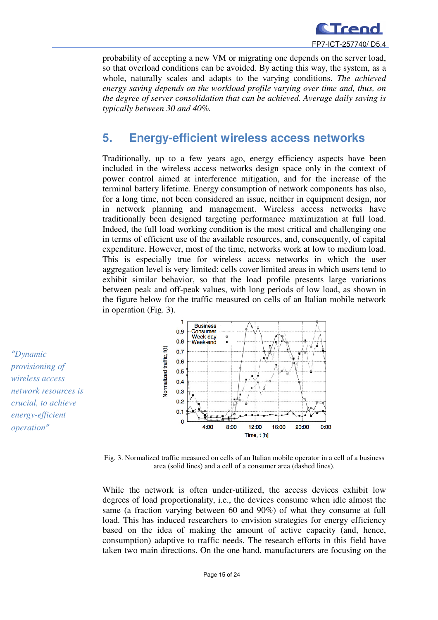

probability of accepting a new VM or migrating one depends on the server load, so that overload conditions can be avoided. By acting this way, the system, as a whole, naturally scales and adapts to the varying conditions. *The achieved energy saving depends on the workload profile varying over time and, thus, on the degree of server consolidation that can be achieved. Average daily saving is typically between 30 and 40%.* 

# **5. Energy-efficient wireless access networks**

Traditionally, up to a few years ago, energy efficiency aspects have been included in the wireless access networks design space only in the context of power control aimed at interference mitigation, and for the increase of the terminal battery lifetime. Energy consumption of network components has also, for a long time, not been considered an issue, neither in equipment design, nor in network planning and management. Wireless access networks have traditionally been designed targeting performance maximization at full load. Indeed, the full load working condition is the most critical and challenging one in terms of efficient use of the available resources, and, consequently, of capital expenditure. However, most of the time, networks work at low to medium load. This is especially true for wireless access networks in which the user aggregation level is very limited: cells cover limited areas in which users tend to exhibit similar behavior, so that the load profile presents large variations between peak and off-peak values, with long periods of low load, as shown in the figure below for the traffic measured on cells of an Italian mobile network in operation (Fig. 3).

"*Dynamic provisioning of wireless access network resources is crucial, to achieve energy-efficient operation*"



Fig. 3. Normalized traffic measured on cells of an Italian mobile operator in a cell of a business area (solid lines) and a cell of a consumer area (dashed lines).

While the network is often under-utilized, the access devices exhibit low degrees of load proportionality, i.e., the devices consume when idle almost the same (a fraction varying between 60 and 90%) of what they consume at full load. This has induced researchers to envision strategies for energy efficiency based on the idea of making the amount of active capacity (and, hence, consumption) adaptive to traffic needs. The research efforts in this field have taken two main directions. On the one hand, manufacturers are focusing on the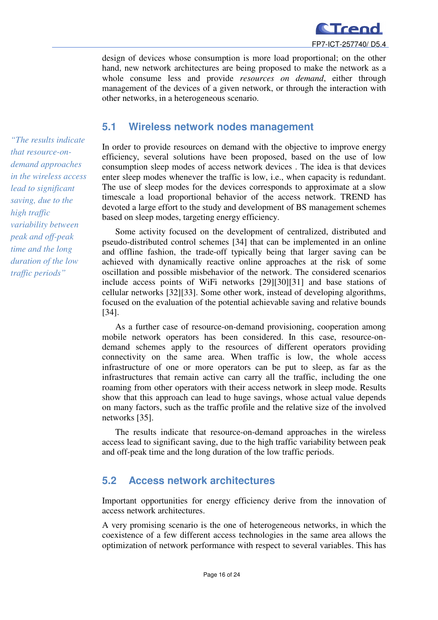

design of devices whose consumption is more load proportional; on the other hand, new network architectures are being proposed to make the network as a whole consume less and provide *resources on demand*, either through management of the devices of a given network, or through the interaction with other networks, in a heterogeneous scenario.

#### **5.1 Wireless network nodes management**

In order to provide resources on demand with the objective to improve energy efficiency, several solutions have been proposed, based on the use of low consumption sleep modes of access network devices . The idea is that devices enter sleep modes whenever the traffic is low, i.e., when capacity is redundant. The use of sleep modes for the devices corresponds to approximate at a slow timescale a load proportional behavior of the access network. TREND has devoted a large effort to the study and development of BS management schemes based on sleep modes, targeting energy efficiency.

Some activity focused on the development of centralized, distributed and pseudo-distributed control schemes [34] that can be implemented in an online and offline fashion, the trade-off typically being that larger saving can be achieved with dynamically reactive online approaches at the risk of some oscillation and possible misbehavior of the network. The considered scenarios include access points of WiFi networks [29][30][31] and base stations of cellular networks [32][33]. Some other work, instead of developing algorithms, focused on the evaluation of the potential achievable saving and relative bounds [34].

As a further case of resource-on-demand provisioning, cooperation among mobile network operators has been considered. In this case, resource-ondemand schemes apply to the resources of different operators providing connectivity on the same area. When traffic is low, the whole access infrastructure of one or more operators can be put to sleep, as far as the infrastructures that remain active can carry all the traffic, including the one roaming from other operators with their access network in sleep mode. Results show that this approach can lead to huge savings, whose actual value depends on many factors, such as the traffic profile and the relative size of the involved networks [35].

The results indicate that resource-on-demand approaches in the wireless access lead to significant saving, due to the high traffic variability between peak and off-peak time and the long duration of the low traffic periods.

#### **5.2 Access network architectures**

Important opportunities for energy efficiency derive from the innovation of access network architectures.

A very promising scenario is the one of heterogeneous networks, in which the coexistence of a few different access technologies in the same area allows the optimization of network performance with respect to several variables. This has

*"The results indicate that resource-ondemand approaches in the wireless access lead to significant saving, due to the high traffic variability between peak and off-peak time and the long duration of the low traffic periods"*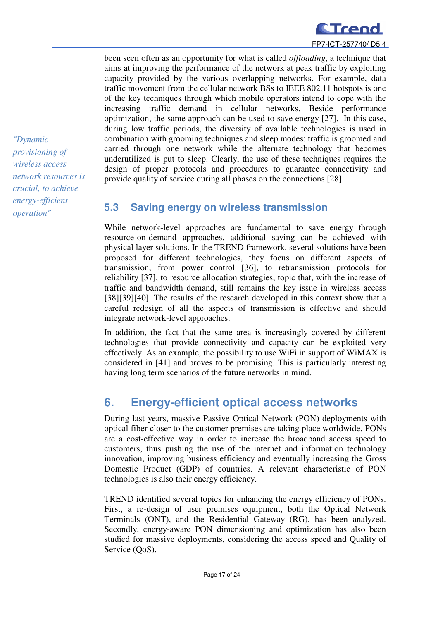

been seen often as an opportunity for what is called *offloading*, a technique that aims at improving the performance of the network at peak traffic by exploiting capacity provided by the various overlapping networks. For example, data traffic movement from the cellular network BSs to IEEE 802.11 hotspots is one of the key techniques through which mobile operators intend to cope with the increasing traffic demand in cellular networks. Beside performance optimization, the same approach can be used to save energy [27]. In this case, during low traffic periods, the diversity of available technologies is used in combination with grooming techniques and sleep modes: traffic is groomed and carried through one network while the alternate technology that becomes underutilized is put to sleep. Clearly, the use of these techniques requires the design of proper protocols and procedures to guarantee connectivity and provide quality of service during all phases on the connections [28].

#### **5.3 Saving energy on wireless transmission**

While network-level approaches are fundamental to save energy through resource-on-demand approaches, additional saving can be achieved with physical layer solutions. In the TREND framework, several solutions have been proposed for different technologies, they focus on different aspects of transmission, from power control [36], to retransmission protocols for reliability [37], to resource allocation strategies, topic that, with the increase of traffic and bandwidth demand, still remains the key issue in wireless access [38][39][40]. The results of the research developed in this context show that a careful redesign of all the aspects of transmission is effective and should integrate network-level approaches.

In addition, the fact that the same area is increasingly covered by different technologies that provide connectivity and capacity can be exploited very effectively. As an example, the possibility to use WiFi in support of WiMAX is considered in [41] and proves to be promising. This is particularly interesting having long term scenarios of the future networks in mind.

# **6. Energy-efficient optical access networks**

During last years, massive Passive Optical Network (PON) deployments with optical fiber closer to the customer premises are taking place worldwide. PONs are a cost-effective way in order to increase the broadband access speed to customers, thus pushing the use of the internet and information technology innovation, improving business efficiency and eventually increasing the Gross Domestic Product (GDP) of countries. A relevant characteristic of PON technologies is also their energy efficiency.

TREND identified several topics for enhancing the energy efficiency of PONs. First, a re-design of user premises equipment, both the Optical Network Terminals (ONT), and the Residential Gateway (RG), has been analyzed. Secondly, energy-aware PON dimensioning and optimization has also been studied for massive deployments, considering the access speed and Quality of Service (QoS).

"*Dynamic provisioning of wireless access network resources is crucial, to achieve energy-efficient operation*"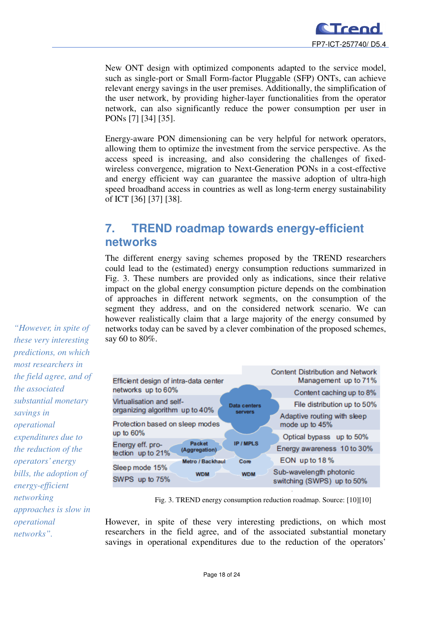

New ONT design with optimized components adapted to the service model, such as single-port or Small Form-factor Pluggable (SFP) ONTs, can achieve relevant energy savings in the user premises. Additionally, the simplification of the user network, by providing higher-layer functionalities from the operator network, can also significantly reduce the power consumption per user in PONs [7] [34] [35].

Energy-aware PON dimensioning can be very helpful for network operators, allowing them to optimize the investment from the service perspective. As the access speed is increasing, and also considering the challenges of fixedwireless convergence, migration to Next-Generation PONs in a cost-effective and energy efficient way can guarantee the massive adoption of ultra-high speed broadband access in countries as well as long-term energy sustainability of ICT [36] [37] [38].

# **7. TREND roadmap towards energy-efficient networks**

The different energy saving schemes proposed by the TREND researchers could lead to the (estimated) energy consumption reductions summarized in Fig. 3. These numbers are provided only as indications, since their relative impact on the global energy consumption picture depends on the combination of approaches in different network segments, on the consumption of the segment they address, and on the considered network scenario. We can however realistically claim that a large majority of the energy consumed by networks today can be saved by a clever combination of the proposed schemes, say 60 to 80%.

*"However, in spite of these very interesting predictions, on which most researchers in the field agree, and of the associated substantial monetary savings in operational expenditures due to the reduction of the operators' energy bills, the adoption of energy-efficient networking approaches is slow in operational networks".* 

|                                                                  |                         | <b>Content Distribution and Network</b><br>Management up to 71% |
|------------------------------------------------------------------|-------------------------|-----------------------------------------------------------------|
| Efficient design of intra-data center                            |                         |                                                                 |
| networks up to 60%                                               |                         | Content caching up to 8%                                        |
| Virtualisation and self-<br>organizing algorithm up to 40%       | Data centers<br>servers | File distribution up to 50%                                     |
|                                                                  |                         | Adaptive routing with sleep                                     |
| Protection based on sleep modes                                  |                         | mode up to 45%                                                  |
| up to $60\%$                                                     |                         | Optical bypass up to 50%                                        |
| Packet<br>Energy eff. pro-<br>(Aggregation)<br>tection up to 21% | <b>IP/MPLS</b>          | Energy awareness 10 to 30%                                      |
| <b>Metro / Backhaul</b>                                          | Core                    | EON up to 18 %                                                  |
| Sleep mode 15%                                                   |                         | Sub-wavelength photonic                                         |
| <b>WDM</b><br>SWPS up to 75%                                     | <b>WDM</b>              | switching (SWPS) up to 50%                                      |

Fig. 3. TREND energy consumption reduction roadmap. Source: [10][10]

However, in spite of these very interesting predictions, on which most researchers in the field agree, and of the associated substantial monetary savings in operational expenditures due to the reduction of the operators'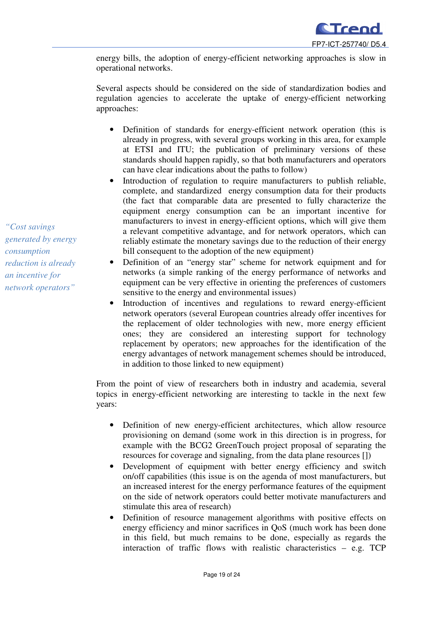

energy bills, the adoption of energy-efficient networking approaches is slow in operational networks.

Several aspects should be considered on the side of standardization bodies and regulation agencies to accelerate the uptake of energy-efficient networking approaches:

- Definition of standards for energy-efficient network operation (this is already in progress, with several groups working in this area, for example at ETSI and ITU; the publication of preliminary versions of these standards should happen rapidly, so that both manufacturers and operators can have clear indications about the paths to follow)
- Introduction of regulation to require manufacturers to publish reliable, complete, and standardized energy consumption data for their products (the fact that comparable data are presented to fully characterize the equipment energy consumption can be an important incentive for manufacturers to invest in energy-efficient options, which will give them a relevant competitive advantage, and for network operators, which can reliably estimate the monetary savings due to the reduction of their energy bill consequent to the adoption of the new equipment)
- Definition of an "energy star" scheme for network equipment and for networks (a simple ranking of the energy performance of networks and equipment can be very effective in orienting the preferences of customers sensitive to the energy and environmental issues)
- Introduction of incentives and regulations to reward energy-efficient network operators (several European countries already offer incentives for the replacement of older technologies with new, more energy efficient ones; they are considered an interesting support for technology replacement by operators; new approaches for the identification of the energy advantages of network management schemes should be introduced, in addition to those linked to new equipment)

From the point of view of researchers both in industry and academia, several topics in energy-efficient networking are interesting to tackle in the next few years:

- Definition of new energy-efficient architectures, which allow resource provisioning on demand (some work in this direction is in progress, for example with the BCG2 GreenTouch project proposal of separating the resources for coverage and signaling, from the data plane resources [])
- Development of equipment with better energy efficiency and switch on/off capabilities (this issue is on the agenda of most manufacturers, but an increased interest for the energy performance features of the equipment on the side of network operators could better motivate manufacturers and stimulate this area of research)
- Definition of resource management algorithms with positive effects on energy efficiency and minor sacrifices in QoS (much work has been done in this field, but much remains to be done, especially as regards the interaction of traffic flows with realistic characteristics – e.g. TCP

*"Cost savings generated by energy consumption reduction is already an incentive for network operators"*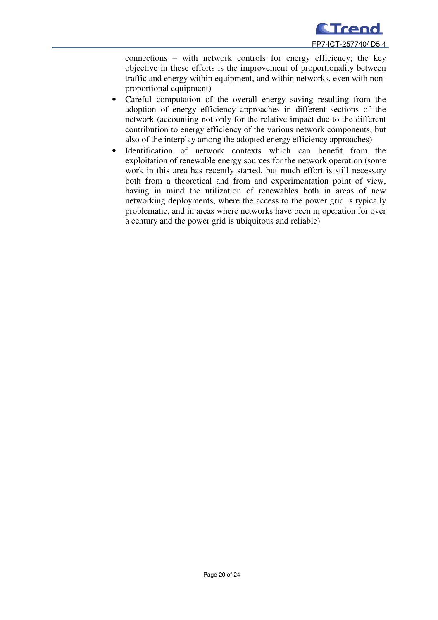

connections – with network controls for energy efficiency; the key objective in these efforts is the improvement of proportionality between traffic and energy within equipment, and within networks, even with nonproportional equipment)

- Careful computation of the overall energy saving resulting from the adoption of energy efficiency approaches in different sections of the network (accounting not only for the relative impact due to the different contribution to energy efficiency of the various network components, but also of the interplay among the adopted energy efficiency approaches)
- Identification of network contexts which can benefit from the exploitation of renewable energy sources for the network operation (some work in this area has recently started, but much effort is still necessary both from a theoretical and from and experimentation point of view, having in mind the utilization of renewables both in areas of new networking deployments, where the access to the power grid is typically problematic, and in areas where networks have been in operation for over a century and the power grid is ubiquitous and reliable)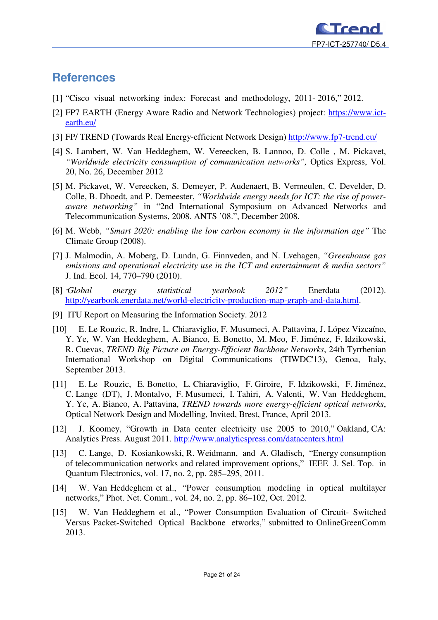

# **References**

- [1] "Cisco visual networking index: Forecast and methodology, 2011- 2016," 2012.
- [2] FP7 EARTH (Energy Aware Radio and Network Technologies) project: https://www.ictearth.eu/
- [3] FP/ TREND (Towards Real Energy-efficient Network Design) http://www.fp7-trend.eu/
- [4] S. Lambert, W. Van Heddeghem, W. Vereecken, B. Lannoo, D. Colle , M. Pickavet, *"Worldwide electricity consumption of communication networks",* Optics Express, Vol. 20, No. 26, December 2012
- [5] M. Pickavet, W. Vereecken, S. Demeyer, P. Audenaert, B. Vermeulen, C. Develder, D. Colle, B. Dhoedt, and P. Demeester, *"Worldwide energy needs for ICT: the rise of poweraware networking"* in "2nd International Symposium on Advanced Networks and Telecommunication Systems, 2008. ANTS '08.", December 2008.
- [6] M. Webb, *"Smart 2020: enabling the low carbon economy in the information age"* The Climate Group (2008).
- [7] J. Malmodin, A. Moberg, D. Lundn, G. Finnveden, and N. Lvehagen, *"Greenhouse gas emissions and operational electricity use in the ICT and entertainment & media sectors"* J. Ind. Ecol. 14, 770–790 (2010).
- [8] "*Global energy statistical yearbook 2012"* Enerdata (2012). http://yearbook.enerdata.net/world-electricity-production-map-graph-and-data.html.
- [9] ITU Report on Measuring the Information Society. 2012
- [10] E. Le Rouzic, R. Indre, L. Chiaraviglio, F. Musumeci, A. Pattavina, J. López Vizcaíno, Y. Ye, W. Van Heddeghem, A. Bianco, E. Bonetto, M. Meo, F. Jiménez, F. Idzikowski, R. Cuevas, *TREND Big Picture on Energy-Efficient Backbone Networks*, 24th Tyrrhenian International Workshop on Digital Communications (TIWDC'13), Genoa, Italy, September 2013.
- [11] E. Le Rouzic, E. Bonetto, L. Chiaraviglio, F. Giroire, F. Idzikowski, F. Jiménez, C. Lange (DT), J. Montalvo, F. Musumeci, I. Tahiri, A. Valenti, W. Van Heddeghem, Y. Ye, A. Bianco, A. Pattavina, *TREND towards more energy-efficient optical networks*, Optical Network Design and Modelling, Invited, Brest, France, April 2013.
- [12] J. Koomey, "Growth in Data center electricity use 2005 to 2010," Oakland, CA: Analytics Press. August 2011. http://www.analyticspress.com/datacenters.html
- [13] C. Lange, D. Kosiankowski, R. Weidmann, and A. Gladisch, "Energy consumption of telecommunication networks and related improvement options," IEEE J. Sel. Top. in Quantum Electronics, vol. 17, no. 2, pp. 285–295, 2011.
- [14] W. Van Heddeghem et al., "Power consumption modeling in optical multilayer networks," Phot. Net. Comm., vol. 24, no. 2, pp. 86–102, Oct. 2012.
- [15] W. Van Heddeghem et al., "Power Consumption Evaluation of Circuit- Switched Versus Packet-Switched Optical Backbone etworks," submitted to OnlineGreenComm 2013.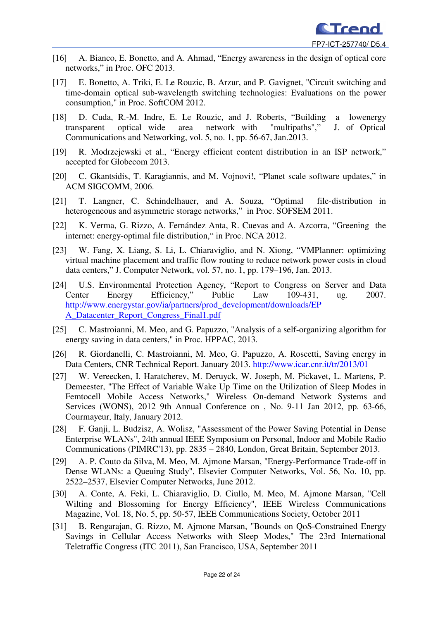

- [16] A. Bianco, E. Bonetto, and A. Ahmad, "Energy awareness in the design of optical core networks," in Proc. OFC 2013.
- [17] E. Bonetto, A. Triki, E. Le Rouzic, B. Arzur, and P. Gavignet, "Circuit switching and time-domain optical sub-wavelength switching technologies: Evaluations on the power consumption," in Proc. SoftCOM 2012.
- [18] D. Cuda, R.-M. Indre, E. Le Rouzic, and J. Roberts, "Building a lowenergy transparent optical wide area network with "multipaths"," J. of Optical Communications and Networking, vol. 5, no. 1, pp. 56-67, Jan.2013.
- [19] R. Modrzejewski et al., "Energy efficient content distribution in an ISP network," accepted for Globecom 2013.
- [20] C. Gkantsidis, T. Karagiannis, and M. Vojnovi!, "Planet scale software updates," in ACM SIGCOMM, 2006.
- [21] T. Langner, C. Schindelhauer, and A. Souza, "Optimal file-distribution in heterogeneous and asymmetric storage networks," in Proc. SOFSEM 2011.
- [22] K. Verma, G. Rizzo, A. Fernández Anta, R. Cuevas and A. Azcorra, "Greening the internet: energy-optimal file distribution," in Proc. NCA 2012.
- [23] W. Fang, X. Liang, S. Li, L. Chiaraviglio, and N. Xiong, "VMPlanner: optimizing virtual machine placement and traffic flow routing to reduce network power costs in cloud data centers," J. Computer Network, vol. 57, no. 1, pp. 179–196, Jan. 2013.
- [24] U.S. Environmental Protection Agency, "Report to Congress on Server and Data Center Energy Efficiency," Public Law 109-431, ug. 2007. http://www.energystar.gov/ia/partners/prod\_development/downloads/EP A\_Datacenter\_Report\_Congress\_Final1.pdf
- [25] C. Mastroianni, M. Meo, and G. Papuzzo, "Analysis of a self-organizing algorithm for energy saving in data centers," in Proc. HPPAC, 2013.
- [26] R. Giordanelli, C. Mastroianni, M. Meo, G. Papuzzo, A. Roscetti, Saving energy in Data Centers, CNR Technical Report. January 2013. http://www.icar.cnr.it/tr/2013/01
- [27] W. Vereecken, I. Haratcherev, M. Deruyck, W. Joseph, M. Pickavet, L. Martens, P. Demeester, "The Effect of Variable Wake Up Time on the Utilization of Sleep Modes in Femtocell Mobile Access Networks," Wireless On-demand Network Systems and Services (WONS), 2012 9th Annual Conference on , No. 9-11 Jan 2012, pp. 63-66, Courmayeur, Italy, January 2012.
- [28] F. Ganji, L. Budzisz, A. Wolisz, "Assessment of the Power Saving Potential in Dense Enterprise WLANs", 24th annual IEEE Symposium on Personal, Indoor and Mobile Radio Communications (PIMRC'13), pp. 2835 – 2840, London, Great Britain, September 2013.
- [29] A. P. Couto da Silva, M. Meo, M. Ajmone Marsan, "Energy-Performance Trade-off in Dense WLANs: a Queuing Study", Elsevier Computer Networks, Vol. 56, No. 10, pp. 2522–2537, Elsevier Computer Networks, June 2012.
- [30] A. Conte, A. Feki, L. Chiaraviglio, D. Ciullo, M. Meo, M. Ajmone Marsan, "Cell Wilting and Blossoming for Energy Efficiency", IEEE Wireless Communications Magazine, Vol. 18, No. 5, pp. 50-57, IEEE Communications Society, October 2011
- [31] B. Rengarajan, G. Rizzo, M. Ajmone Marsan, "Bounds on QoS-Constrained Energy Savings in Cellular Access Networks with Sleep Modes," The 23rd International Teletraffic Congress (ITC 2011), San Francisco, USA, September 2011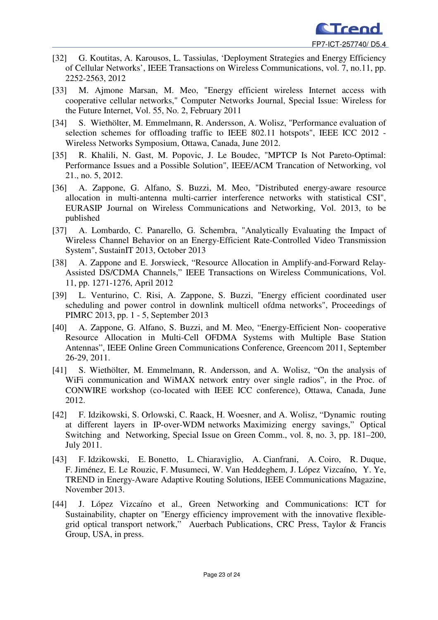- [32] G. Koutitas, A. Karousos, L. Tassiulas, 'Deployment Strategies and Energy Efficiency of Cellular Networks', IEEE Transactions on Wireless Communications, vol. 7, no.11, pp. 2252-2563, 2012
- [33] M. Ajmone Marsan, M. Meo, "Energy efficient wireless Internet access with cooperative cellular networks," Computer Networks Journal, Special Issue: Wireless for the Future Internet, Vol. 55, No. 2, February 2011
- [34] S. Wiethölter, M. Emmelmann, R. Andersson, A. Wolisz, "Performance evaluation of selection schemes for offloading traffic to IEEE 802.11 hotspots", IEEE ICC 2012 - Wireless Networks Symposium, Ottawa, Canada, June 2012.
- [35] R. Khalili, N. Gast, M. Popovic, J. Le Boudec, "MPTCP Is Not Pareto-Optimal: Performance Issues and a Possible Solution", IEEE/ACM Trancation of Networking, vol 21., no. 5, 2012.
- [36] A. Zappone, G. Alfano, S. Buzzi, M. Meo, "Distributed energy-aware resource allocation in multi-antenna multi-carrier interference networks with statistical CSI", EURASIP Journal on Wireless Communications and Networking, Vol. 2013, to be published
- [37] A. Lombardo, C. Panarello, G. Schembra, "Analytically Evaluating the Impact of Wireless Channel Behavior on an Energy-Efficient Rate-Controlled Video Transmission System", SustainIT 2013, October 2013
- [38] A. Zappone and E. Jorswieck, "Resource Allocation in Amplify-and-Forward Relay-Assisted DS/CDMA Channels," IEEE Transactions on Wireless Communications, Vol. 11, pp. 1271-1276, April 2012
- [39] L. Venturino, C. Risi, A. Zappone, S. Buzzi, "Energy efficient coordinated user scheduling and power control in downlink multicell ofdma networks", Proceedings of PIMRC 2013, pp. 1 - 5, September 2013
- [40] A. Zappone, G. Alfano, S. Buzzi, and M. Meo, "Energy-Efficient Non- cooperative Resource Allocation in Multi-Cell OFDMA Systems with Multiple Base Station Antennas", IEEE Online Green Communications Conference, Greencom 2011, September 26-29, 2011.
- [41] S. Wiethölter, M. Emmelmann, R. Andersson, and A. Wolisz, "On the analysis of WiFi communication and WiMAX network entry over single radios", in the Proc. of CONWIRE workshop (co-located with IEEE ICC conference), Ottawa, Canada, June 2012.
- [42] F. Idzikowski, S. Orlowski, C. Raack, H. Woesner, and A. Wolisz, "Dynamic routing at different layers in IP-over-WDM networks Maximizing energy savings," Optical Switching and Networking, Special Issue on Green Comm., vol. 8, no. 3, pp. 181–200, July 2011.
- [43] F. Idzikowski, E. Bonetto, L. Chiaraviglio, A. Cianfrani, A. Coiro, R. Duque, F. Jiménez, E. Le Rouzic, F. Musumeci, W. Van Heddeghem, J. López Vizcaíno, Y. Ye, TREND in Energy-Aware Adaptive Routing Solutions, IEEE Communications Magazine, November 2013.
- [44] J. López Vizcaíno et al., Green Networking and Communications: ICT for Sustainability, chapter on "Energy efficiency improvement with the innovative flexiblegrid optical transport network," Auerbach Publications, CRC Press, Taylor & Francis Group, USA, in press.